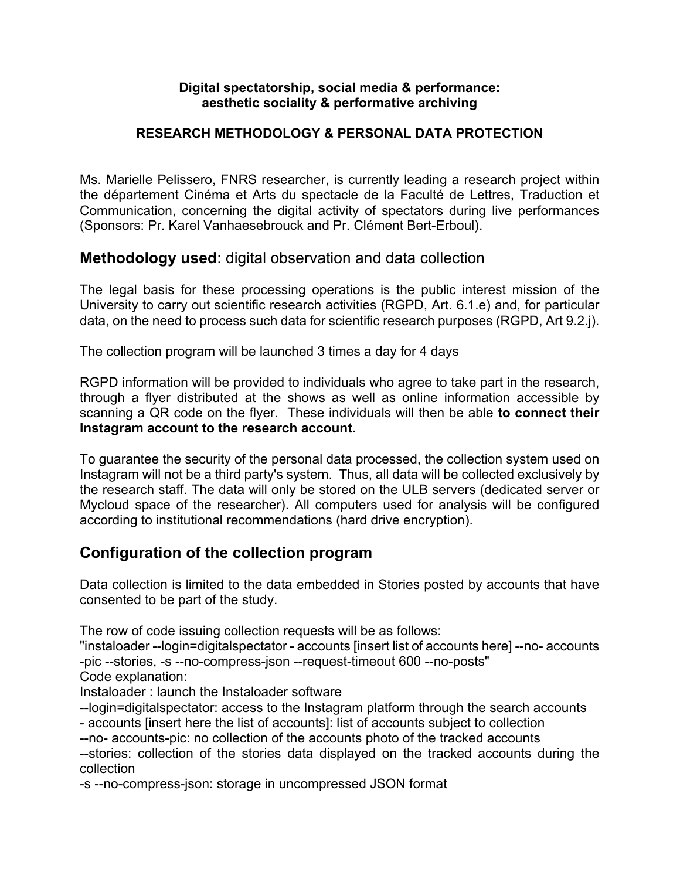#### **Digital spectatorship, social media & performance: aesthetic sociality & performative archiving**

#### **RESEARCH METHODOLOGY & PERSONAL DATA PROTECTION**

Ms. Marielle Pelissero, FNRS researcher, is currently leading a research project within the département Cinéma et Arts du spectacle de la Faculté de Lettres, Traduction et Communication, concerning the digital activity of spectators during live performances (Sponsors: Pr. Karel Vanhaesebrouck and Pr. Clément Bert-Erboul).

### **Methodology used**: digital observation and data collection

The legal basis for these processing operations is the public interest mission of the University to carry out scientific research activities (RGPD, Art. 6.1.e) and, for particular data, on the need to process such data for scientific research purposes (RGPD, Art 9.2.j).

The collection program will be launched 3 times a day for 4 days

RGPD information will be provided to individuals who agree to take part in the research, through a flyer distributed at the shows as well as online information accessible by scanning a QR code on the flyer. These individuals will then be able **to connect their Instagram account to the research account.**

To guarantee the security of the personal data processed, the collection system used on Instagram will not be a third party's system. Thus, all data will be collected exclusively by the research staff. The data will only be stored on the ULB servers (dedicated server or Mycloud space of the researcher). All computers used for analysis will be configured according to institutional recommendations (hard drive encryption).

## **Configuration of the collection program**

Data collection is limited to the data embedded in Stories posted by accounts that have consented to be part of the study.

The row of code issuing collection requests will be as follows:

"instaloader --login=digitalspectator - accounts [insert list of accounts here] --no- accounts -pic --stories, -s --no-compress-json --request-timeout 600 --no-posts"

Code explanation:

Instaloader : launch the Instaloader software

--login=digitalspectator: access to the Instagram platform through the search accounts

- accounts [insert here the list of accounts]: list of accounts subject to collection

--no- accounts-pic: no collection of the accounts photo of the tracked accounts --stories: collection of the stories data displayed on the tracked accounts during the collection

-s --no-compress-json: storage in uncompressed JSON format